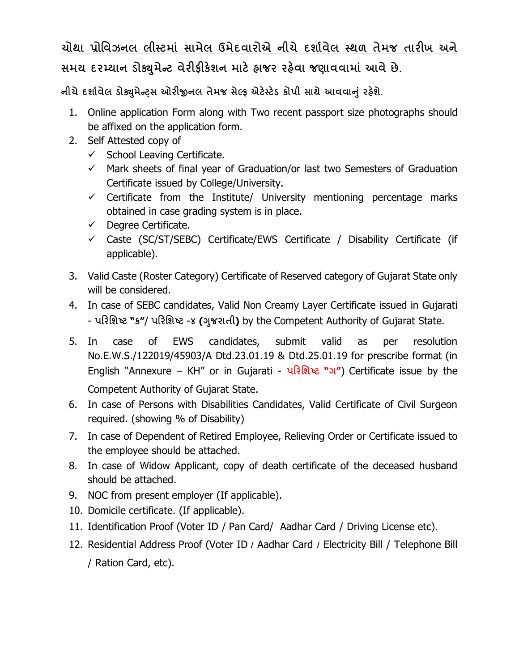## **ચોથા ̆ોિવઝનલ લીƨટમાં સામેલ ઉમેદવારોએ નીચે દશા½વેલ ƨથળ તેમજ તારખ અને**  <u>સમય દરમ્યાન ડોક્યુમેન્ટ વેરીફીકેશન માટે હાજર રહેવા જણાવવામાં આવે છે.</u>

**નીચેદશા½વેલ ડોɉુમેƛͫસ ઓરĥનલ તેમજ સેƣફ એટ°ƨટ°ડ કોપી સાથે આવવાȵું રહ°શે.**

- 1. Online application Form along with Two recent passport size photographs should be affixed on the application form.
- 2. Self Attested copy of
	- $\checkmark$  School Leaving Certificate.
	- $\checkmark$  Mark sheets of final year of Graduation/or last two Semesters of Graduation Certificate issued by College/University.
	- $\checkmark$  Certificate from the Institute/ University mentioning percentage marks obtained in case grading system is in place.
	- $\checkmark$  Degree Certificate.
	- $\checkmark$  Caste (SC/ST/SEBC) Certificate/EWS Certificate / Disability Certificate (if applicable).
- 3. Valid Caste (Roster Category) Certificate of Reserved category of Gujarat State only will be considered.
- 4. In case of SEBC candidates, Valid Non Creamy Layer Certificate issued in Gujarati - **પરિશƧટ "ક"**/ **પરિશƧટ** -**૪ (Ȥુજરાતી)** by the Competent Authority of Gujarat State.
- 5. In case of EWS candidates, submit valid as per resolution No.E.W.S./122019/45903/A Dtd.23.01.19 & Dtd.25.01.19 for prescribe format (in English "Annexure – KH" or in Gujarati - **પરિશƧટ "ગ"**) Certificate issue by the Competent Authority of Gujarat State.
- 6. In case of Persons with Disabilities Candidates, Valid Certificate of Civil Surgeon required. (showing % of Disability)
- 7. In case of Dependent of Retired Employee, Relieving Order or Certificate issued to the employee should be attached.
- 8. In case of Widow Applicant, copy of death certificate of the deceased husband should be attached.
- 9. NOC from present employer (If applicable).
- 10. Domicile certificate. (If applicable).
- 11. Identification Proof (Voter ID / Pan Card/ Aadhar Card / Driving License etc).
- 12. Residential Address Proof (Voter ID **/** Aadhar Card **/** Electricity Bill / Telephone Bill / Ration Card, etc).